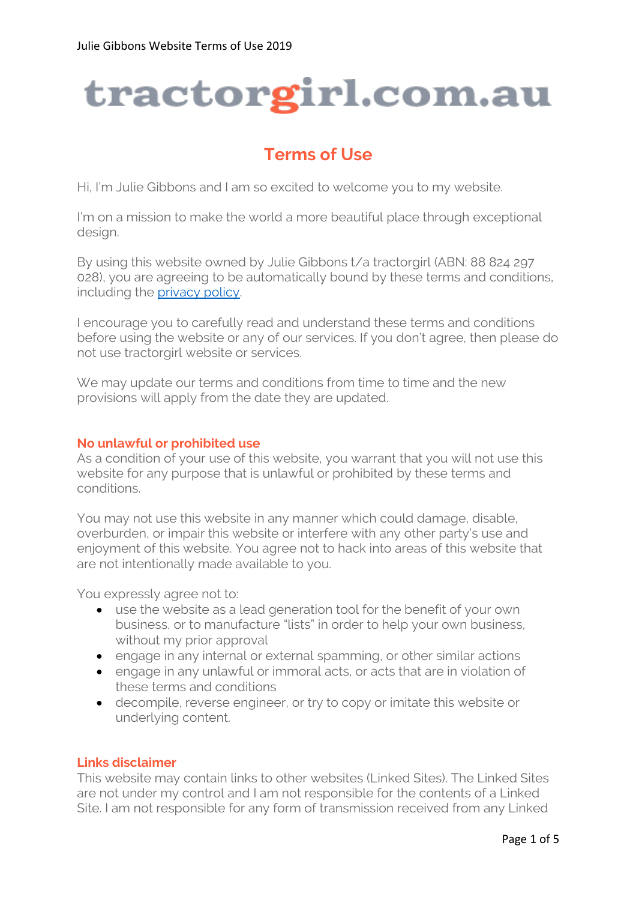# tractorgirl.com.au

# **Terms of Use**

Hi, I'm Julie Gibbons and I am so excited to welcome you to my website.

I'm on a mission to make the world a more beautiful place through exceptional desian.

By using this website owned by Julie Gibbons t/a tractorgirl (ABN: 88 824 297 028), you are agreeing to be automatically bound by these terms and conditions, including the **privacy policy**.

I encourage you to carefully read and understand these terms and conditions before using the website or any of our services. If you don't agree, then please do not use tractorgirl website or services.

We may update our terms and conditions from time to time and the new provisions will apply from the date they are updated.

# **No unlawful or prohibited use**

As a condition of your use of this website, you warrant that you will not use this website for any purpose that is unlawful or prohibited by these terms and conditions.

You may not use this website in any manner which could damage, disable, overburden, or impair this website or interfere with any other party's use and enjoyment of this website. You agree not to hack into areas of this website that are not intentionally made available to you.

You expressly agree not to:

- use the website as a lead generation tool for the benefit of your own business, or to manufacture "lists" in order to help your own business, without my prior approval
- engage in any internal or external spamming, or other similar actions
- engage in any unlawful or immoral acts, or acts that are in violation of these terms and conditions
- decompile, reverse engineer, or try to copy or imitate this website or underlying content.

# **Links disclaimer**

This website may contain links to other websites (Linked Sites). The Linked Sites are not under my control and I am not responsible for the contents of a Linked Site. I am not responsible for any form of transmission received from any Linked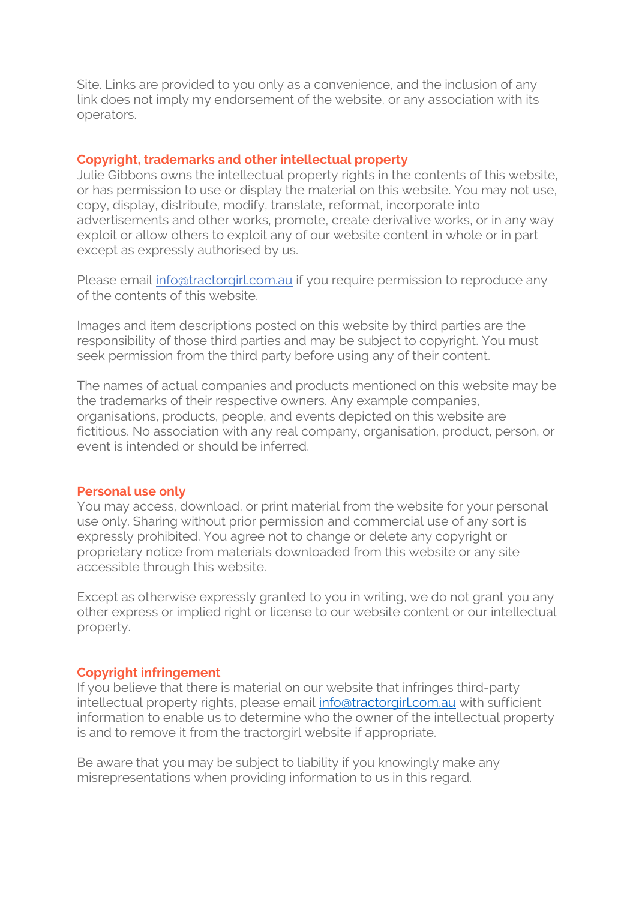Site. Links are provided to you only as a convenience, and the inclusion of any link does not imply my endorsement of the website, or any association with its operators.

### **Copyright, trademarks and other intellectual property**

Julie Gibbons owns the intellectual property rights in the contents of this website, or has permission to use or display the material on this website. You may not use, copy, display, distribute, modify, translate, reformat, incorporate into advertisements and other works, promote, create derivative works, or in any way exploit or allow others to exploit any of our website content in whole or in part except as expressly authorised by us.

Please email [info@tractorgirl.com.au](mailto:info@tractorgirl.com.au) if you require permission to reproduce any of the contents of this website.

Images and item descriptions posted on this website by third parties are the responsibility of those third parties and may be subject to copyright. You must seek permission from the third party before using any of their content.

The names of actual companies and products mentioned on this website may be the trademarks of their respective owners. Any example companies, organisations, products, people, and events depicted on this website are fictitious. No association with any real company, organisation, product, person, or event is intended or should be inferred.

#### **Personal use only**

You may access, download, or print material from the website for your personal use only. Sharing without prior permission and commercial use of any sort is expressly prohibited. You agree not to change or delete any copyright or proprietary notice from materials downloaded from this website or any site accessible through this website.

Except as otherwise expressly granted to you in writing, we do not grant you any other express or implied right or license to our website content or our intellectual property.

#### **Copyright infringement**

If you believe that there is material on our website that infringes third-party intellectual property rights, please email [info@tractorgirl.com.au](mailto:info@tractorgirl.com.au) with sufficient information to enable us to determine who the owner of the intellectual property is and to remove it from the tractorgirl website if appropriate.

Be aware that you may be subject to liability if you knowingly make any misrepresentations when providing information to us in this regard.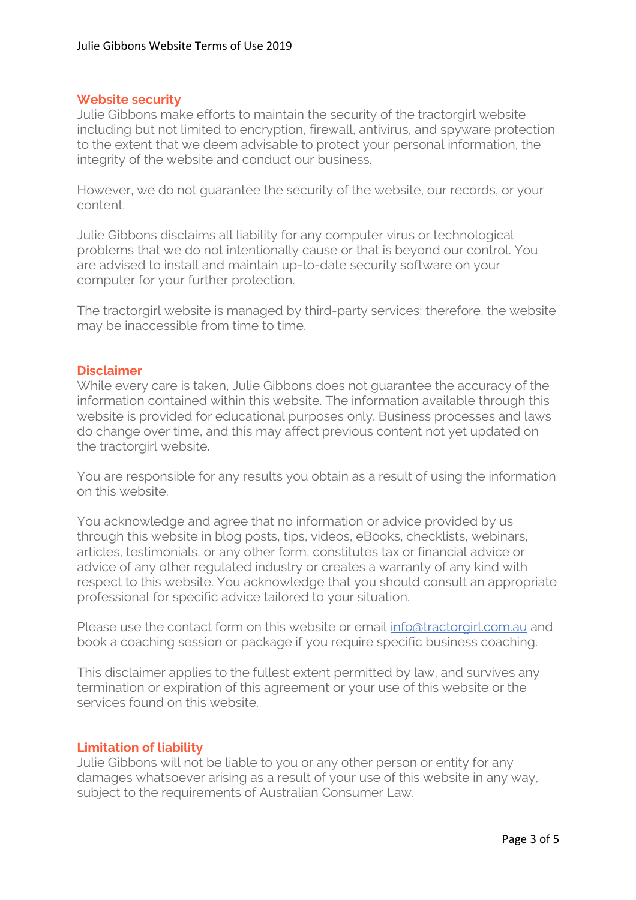## **Website security**

Julie Gibbons make efforts to maintain the security of the tractorgirl website including but not limited to encryption, firewall, antivirus, and spyware protection to the extent that we deem advisable to protect your personal information, the integrity of the website and conduct our business.

However, we do not guarantee the security of the website, our records, or your content.

Julie Gibbons disclaims all liability for any computer virus or technological problems that we do not intentionally cause or that is beyond our control. You are advised to install and maintain up-to-date security software on your computer for your further protection.

The tractorgirl website is managed by third-party services; therefore, the website may be inaccessible from time to time.

#### **Disclaimer**

While every care is taken, Julie Gibbons does not guarantee the accuracy of the information contained within this website. The information available through this website is provided for educational purposes only. Business processes and laws do change over time, and this may affect previous content not yet updated on the tractorgirl website.

You are responsible for any results you obtain as a result of using the information on this website.

You acknowledge and agree that no information or advice provided by us through this website in blog posts, tips, videos, eBooks, checklists, webinars, articles, testimonials, or any other form, constitutes tax or financial advice or advice of any other regulated industry or creates a warranty of any kind with respect to this website. You acknowledge that you should consult an appropriate professional for specific advice tailored to your situation.

Please use the contact form on this website or email [info@tractorgirl.com.au](mailto:info@tractorgirl.com.au) and book a coaching session or package if you require specific business coaching.

This disclaimer applies to the fullest extent permitted by law, and survives any termination or expiration of this agreement or your use of this website or the services found on this website.

#### **Limitation of liability**

Julie Gibbons will not be liable to you or any other person or entity for any damages whatsoever arising as a result of your use of this website in any way, subject to the requirements of Australian Consumer Law.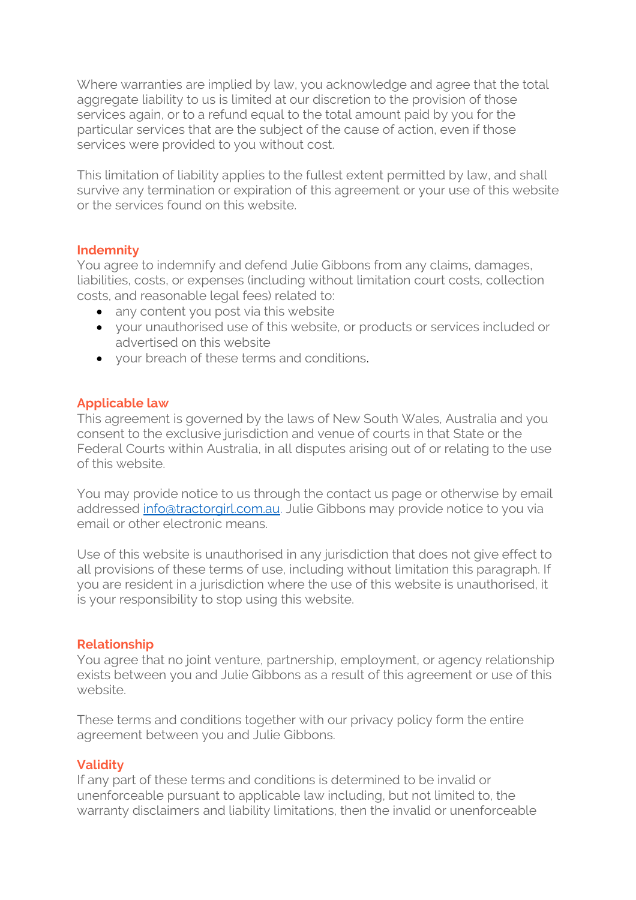Where warranties are implied by law, you acknowledge and agree that the total aggregate liability to us is limited at our discretion to the provision of those services again, or to a refund equal to the total amount paid by you for the particular services that are the subject of the cause of action, even if those services were provided to you without cost.

This limitation of liability applies to the fullest extent permitted by law, and shall survive any termination or expiration of this agreement or your use of this website or the services found on this website.

# **Indemnity**

You agree to indemnify and defend Julie Gibbons from any claims, damages, liabilities, costs, or expenses (including without limitation court costs, collection costs, and reasonable legal fees) related to:

- any content you post via this website
- vour unauthorised use of this website, or products or services included or advertised on this website
- your breach of these terms and conditions.

# **Applicable law**

This agreement is governed by the laws of New South Wales, Australia and you consent to the exclusive jurisdiction and venue of courts in that State or the Federal Courts within Australia, in all disputes arising out of or relating to the use of this website.

You may provide notice to us through the contact us page or otherwise by email addressed [info@tractorgirl.com.au.](mailto:info@tractorgirl.com.au) Julie Gibbons may provide notice to you via email or other electronic means.

Use of this website is unauthorised in any jurisdiction that does not give effect to all provisions of these terms of use, including without limitation this paragraph. If you are resident in a jurisdiction where the use of this website is unauthorised, it is your responsibility to stop using this website.

# **Relationship**

You agree that no joint venture, partnership, employment, or agency relationship exists between you and Julie Gibbons as a result of this agreement or use of this website.

These terms and conditions together with our privacy policy form the entire agreement between you and Julie Gibbons.

# **Validity**

If any part of these terms and conditions is determined to be invalid or unenforceable pursuant to applicable law including, but not limited to, the warranty disclaimers and liability limitations, then the invalid or unenforceable